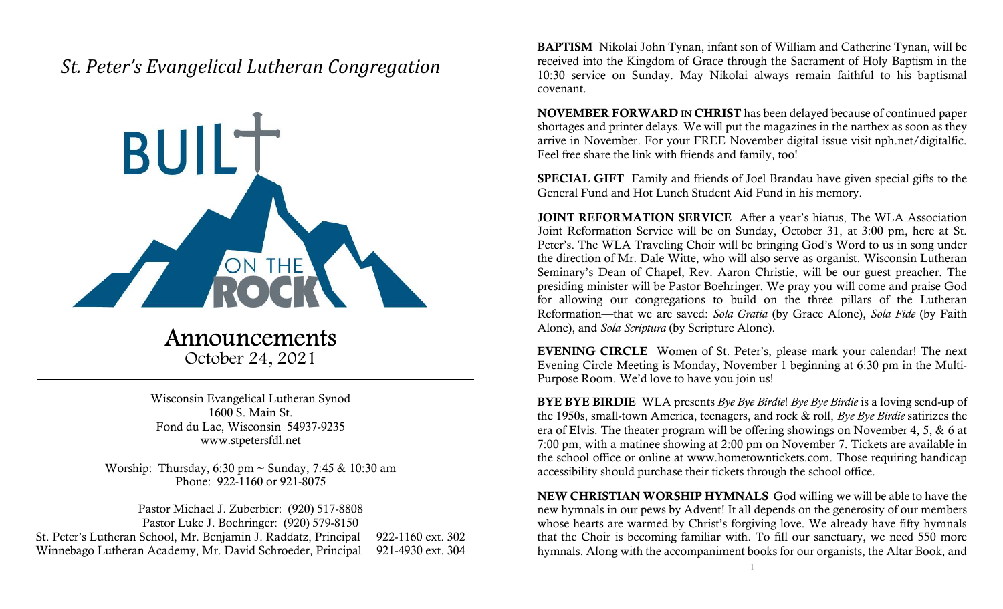## St. Peter's Evangelical Lutheran Congregation



Announcements October 24, 2021

Wisconsin Evangelical Lutheran Synod 1600 S. Main St. Fond du Lac, Wisconsin 54937-9235 www.stpetersfdl.net

Worship: Thursday, 6:30 pm ~ Sunday, 7:45 & 10:30 am Phone: 922-1160 or 921-8075

Pastor Michael J. Zuberbier: (920) 517-8808 Pastor Luke J. Boehringer: (920) 579-8150 St. Peter's Lutheran School, Mr. Benjamin J. Raddatz, Principal 922-1160 ext. 302 Winnebago Lutheran Academy, Mr. David Schroeder, Principal 921-4930 ext. 304 BAPTISM Nikolai John Tynan, infant son of William and Catherine Tynan, will be received into the Kingdom of Grace through the Sacrament of Holy Baptism in the 10:30 service on Sunday. May Nikolai always remain faithful to his baptismal covenant.

NOVEMBER FORWARD IN CHRIST has been delayed because of continued paper shortages and printer delays. We will put the magazines in the narthex as soon as they arrive in November. For your FREE November digital issue visit nph.net/digitalfic. Feel free share the link with friends and family, too!

SPECIAL GIFT Family and friends of Joel Brandau have given special gifts to the General Fund and Hot Lunch Student Aid Fund in his memory.

JOINT REFORMATION SERVICE After a year's hiatus, The WLA Association Joint Reformation Service will be on Sunday, October 31, at 3:00 pm, here at St. Peter's. The WLA Traveling Choir will be bringing God's Word to us in song under the direction of Mr. Dale Witte, who will also serve as organist. Wisconsin Lutheran Seminary's Dean of Chapel, Rev. Aaron Christie, will be our guest preacher. The presiding minister will be Pastor Boehringer. We pray you will come and praise God for allowing our congregations to build on the three pillars of the Lutheran Reformation—that we are saved: Sola Gratia (by Grace Alone), Sola Fide (by Faith Alone), and *Sola Scriptura* (by Scripture Alone).

EVENING CIRCLE Women of St. Peter's, please mark your calendar! The next Evening Circle Meeting is Monday, November 1 beginning at 6:30 pm in the Multi-Purpose Room. We'd love to have you join us!

BYE BIRDIE WLA presents Bye Bye Birdie! Bye Bye Birdie is a loving send-up of the 1950s, small-town America, teenagers, and rock & roll, Bye Bye Birdie satirizes the era of Elvis. The theater program will be offering showings on November 4, 5, & 6 at 7:00 pm, with a matinee showing at 2:00 pm on November 7. Tickets are available in the school office or online at www.hometowntickets.com. Those requiring handicap accessibility should purchase their tickets through the school office.

NEW CHRISTIAN WORSHIP HYMNALS God willing we will be able to have the new hymnals in our pews by Advent! It all depends on the generosity of our members whose hearts are warmed by Christ's forgiving love. We already have fifty hymnals that the Choir is becoming familiar with. To fill our sanctuary, we need 550 more hymnals. Along with the accompaniment books for our organists, the Altar Book, and